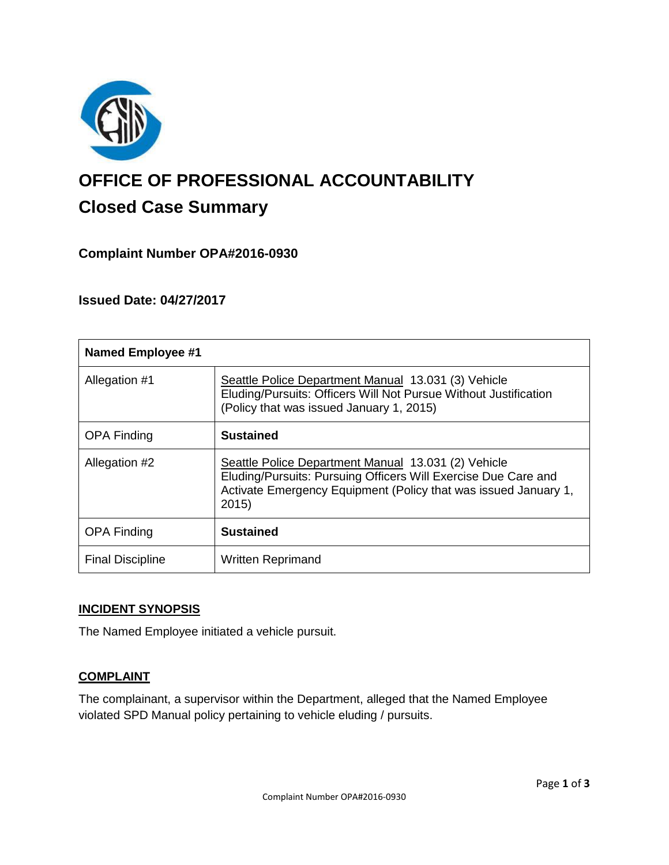

# **OFFICE OF PROFESSIONAL ACCOUNTABILITY Closed Case Summary**

# **Complaint Number OPA#2016-0930**

# **Issued Date: 04/27/2017**

| <b>Named Employee #1</b> |                                                                                                                                                                                                  |
|--------------------------|--------------------------------------------------------------------------------------------------------------------------------------------------------------------------------------------------|
| Allegation #1            | Seattle Police Department Manual 13.031 (3) Vehicle<br>Eluding/Pursuits: Officers Will Not Pursue Without Justification<br>(Policy that was issued January 1, 2015)                              |
| <b>OPA Finding</b>       | <b>Sustained</b>                                                                                                                                                                                 |
| Allegation #2            | Seattle Police Department Manual 13.031 (2) Vehicle<br>Eluding/Pursuits: Pursuing Officers Will Exercise Due Care and<br>Activate Emergency Equipment (Policy that was issued January 1,<br>2015 |
| <b>OPA Finding</b>       | <b>Sustained</b>                                                                                                                                                                                 |
| <b>Final Discipline</b>  | <b>Written Reprimand</b>                                                                                                                                                                         |

### **INCIDENT SYNOPSIS**

The Named Employee initiated a vehicle pursuit.

## **COMPLAINT**

The complainant, a supervisor within the Department, alleged that the Named Employee violated SPD Manual policy pertaining to vehicle eluding / pursuits.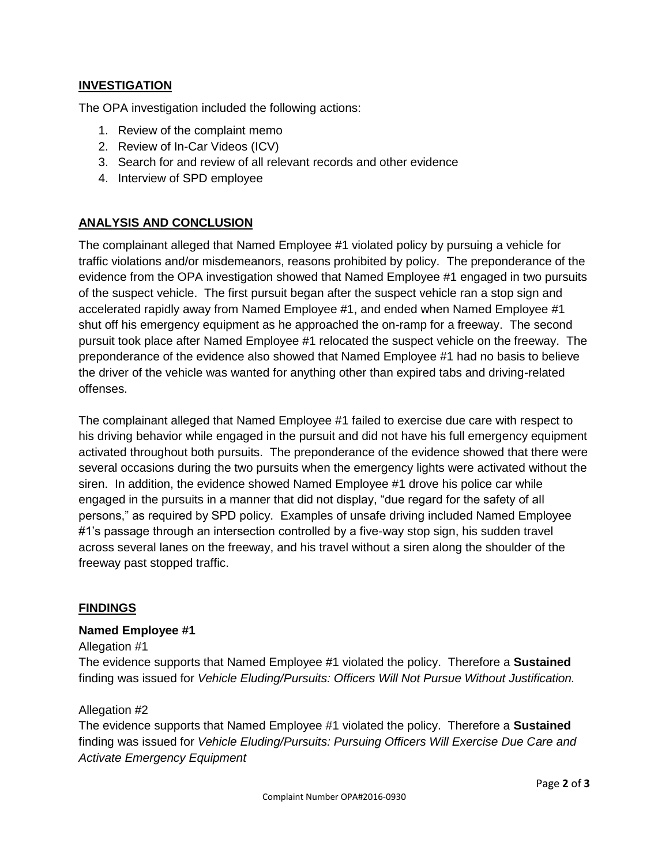## **INVESTIGATION**

The OPA investigation included the following actions:

- 1. Review of the complaint memo
- 2. Review of In-Car Videos (ICV)
- 3. Search for and review of all relevant records and other evidence
- 4. Interview of SPD employee

# **ANALYSIS AND CONCLUSION**

The complainant alleged that Named Employee #1 violated policy by pursuing a vehicle for traffic violations and/or misdemeanors, reasons prohibited by policy. The preponderance of the evidence from the OPA investigation showed that Named Employee #1 engaged in two pursuits of the suspect vehicle. The first pursuit began after the suspect vehicle ran a stop sign and accelerated rapidly away from Named Employee #1, and ended when Named Employee #1 shut off his emergency equipment as he approached the on-ramp for a freeway. The second pursuit took place after Named Employee #1 relocated the suspect vehicle on the freeway. The preponderance of the evidence also showed that Named Employee #1 had no basis to believe the driver of the vehicle was wanted for anything other than expired tabs and driving-related offenses.

The complainant alleged that Named Employee #1 failed to exercise due care with respect to his driving behavior while engaged in the pursuit and did not have his full emergency equipment activated throughout both pursuits. The preponderance of the evidence showed that there were several occasions during the two pursuits when the emergency lights were activated without the siren. In addition, the evidence showed Named Employee #1 drove his police car while engaged in the pursuits in a manner that did not display, "due regard for the safety of all persons," as required by SPD policy. Examples of unsafe driving included Named Employee #1's passage through an intersection controlled by a five-way stop sign, his sudden travel across several lanes on the freeway, and his travel without a siren along the shoulder of the freeway past stopped traffic.

### **FINDINGS**

#### **Named Employee #1**

#### Allegation #1

The evidence supports that Named Employee #1 violated the policy. Therefore a **Sustained** finding was issued for *Vehicle Eluding/Pursuits: Officers Will Not Pursue Without Justification.*

#### Allegation #2

The evidence supports that Named Employee #1 violated the policy. Therefore a **Sustained** finding was issued for *Vehicle Eluding/Pursuits: Pursuing Officers Will Exercise Due Care and Activate Emergency Equipment*